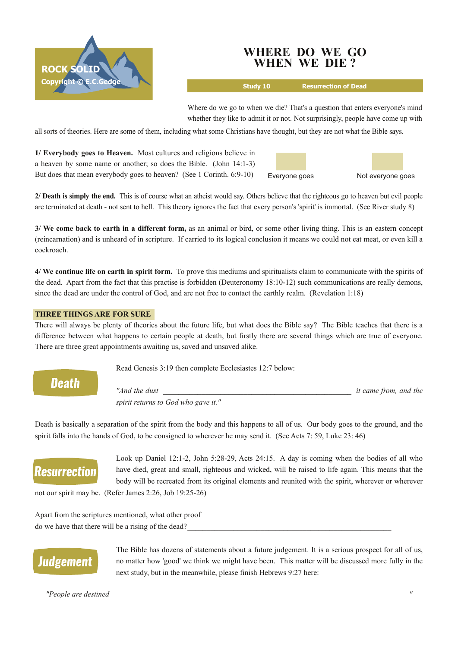

### **WHERE DO WE GO WHEN WE DIE ?**

**Study 10 Resurrection of Dead**

Where do we go to when we die? That's a question that enters everyone's mind whether they like to admit it or not. Not surprisingly, people have come up with

all sorts of theories. Here are some of them, including what some Christians have thought, but they are not what the Bible says.

**1/ Everybody goes to Heaven.** Most cultures and religions believe in a heaven by some name or another; so does the Bible. (John 14:13) But does that mean everybody goes to heaven? (See 1 Corinth. 6:9-10)



**2/ Death is simply the end.** This is of course what an atheist would say. Others believe that the righteous go to heaven but evil people are terminated at death - not sent to hell. This theory ignores the fact that every person's 'spirit' is immortal. (See River study 8)

**3/ We come back to earth in a different form,** as an animal or bird, or some other living thing. This is an eastern concept (reincarnation) and is unheard of in scripture. If carried to its logical conclusion it means we could not eat meat, or even kill a cockroach.

**4/ We continue life on earth in spirit form.** To prove this mediums and spiritualists claim to communicate with the spirits of the dead. Apart from the fact that this practise is forbidden (Deuteronomy  $18:10-12$ ) such communications are really demons, since the dead are under the control of God, and are not free to contact the earthly realm. (Revelation 1:18)

### **THREE THINGS ARE FOR SURE**

There will always be plenty of theories about the future life, but what does the Bible say? The Bible teaches that there is a difference between what happens to certain people at death, but firstly there are several things which are true of everyone. There are three great appointments awaiting us, saved and unsaved alike.

Read Genesis 3:19 then complete Ecclesiastes 12:7 below:

**Death** 

*"And the dust \_\_\_\_\_\_\_\_\_\_\_\_\_\_\_\_\_\_\_\_\_\_\_\_\_\_\_\_\_\_\_\_\_\_\_\_\_\_\_\_\_\_\_\_\_\_\_\_\_ it came from, and the spirit returns to God who gave it."*

Death is basically a separation of the spirit from the body and this happens to all of us. Our body goes to the ground, and the spirit falls into the hands of God, to be consigned to wherever he may send it. (See Acts 7: 59, Luke 23: 46)

# **Resurrection**

Look up Daniel 12:1-2, John 5:28-29, Acts 24:15. A day is coming when the bodies of all who have died, great and small, righteous and wicked, will be raised to life again. This means that the body will be recreated from its original elements and reunited with the spirit, wherever or wherever

not our spirit may be. (Refer James 2:26, Job 19:25-26)

Apart from the scriptures mentioned, what other proof do we have that there will be a rising of the dead?

# **Judgement**

The Bible has dozens of statements about a future judgement. It is a serious prospect for all of us, no matter how 'good' we think we might have been. This matter will be discussed more fully in the next study, but in the meanwhile, please finish Hebrews 9:27 here:

*"People are destined \_\_\_\_\_\_\_\_\_\_\_\_\_\_\_\_\_\_\_\_\_\_\_\_\_\_\_\_\_\_\_\_\_\_\_\_\_\_\_\_\_\_\_\_\_\_\_\_\_\_\_\_\_\_\_\_\_\_\_\_\_\_\_\_\_\_\_\_\_\_\_\_\_\_\_\_\_"*